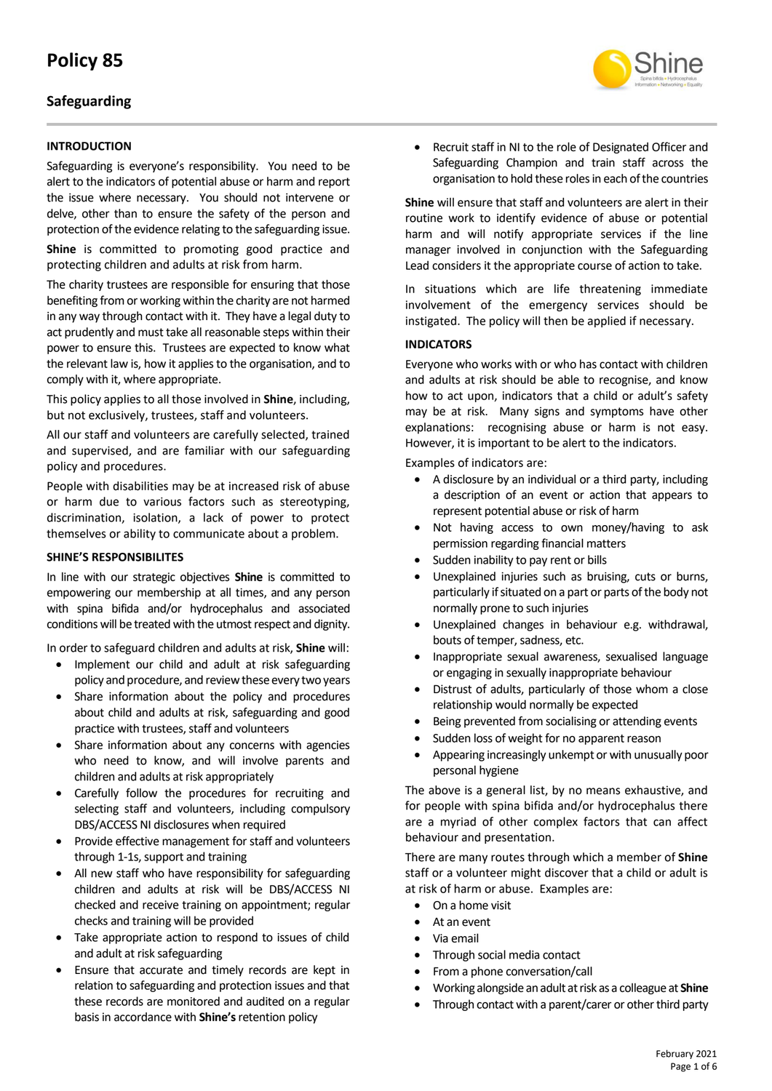# **Safeguarding**

### **INTRODUCTION**

Safeguarding is everyone's responsibility. You need to be alert to the indicators of potential abuse or harm and report the issue where necessary. You should not intervene or delve, other than to ensure the safety of the person and protection of the evidence relating to the safeguarding issue.

**Shine** is committed to promoting good practice and protecting children and adults at risk from harm.

The charity trustees are responsible for ensuring that those benefiting from or working within the charity are not harmed in any way through contact with it. They have a legal duty to act prudently and must take all reasonable steps within their power to ensure this. Trustees are expected to know what the relevant law is, how it applies to the organisation, and to comply with it, where appropriate.

This policy applies to all those involved in **Shine**, including, but not exclusively, trustees, staff and volunteers.

All our staff and volunteers are carefully selected, trained and supervised, and are familiar with our safeguarding policy and procedures.

People with disabilities may be at increased risk of abuse or harm due to various factors such as stereotyping, discrimination, isolation, a lack of power to protect themselves or ability to communicate about a problem.

#### **SHINE'S RESPONSIBILITES**

In line with our strategic objectives **Shine** is committed to empowering our membership at all times, and any person with spina bifida and/or hydrocephalus and associated conditions will be treated with the utmost respect and dignity.

In order to safeguard children and adults at risk, **Shine** will:

- Implement our child and adult at risk safeguarding policy and procedure, and review these every two years
- Share information about the policy and procedures about child and adults at risk, safeguarding and good practice with trustees, staff and volunteers
- Share information about any concerns with agencies who need to know, and will involve parents and children and adults at risk appropriately
- Carefully follow the procedures for recruiting and selecting staff and volunteers, including compulsory DBS/ACCESS NI disclosures when required
- Provide effective management for staff and volunteers through 1-1s, support and training
- All new staff who have responsibility for safeguarding children and adults at risk will be DBS/ACCESS NI checked and receive training on appointment; regular checks and training will be provided
- Take appropriate action to respond to issues of child and adult at risk safeguarding
- Ensure that accurate and timely records are kept in relation to safeguarding and protection issues and that these records are monitored and audited on a regular basis in accordance with **Shine's**retention policy

• Recruit staff in NI to the role of Designated Officer and Safeguarding Champion and train staff across the organisation to hold these roles in each of the countries

**Shine** will ensure that staff and volunteers are alert in their routine work to identify evidence of abuse or potential harm and will notify appropriate services if the line manager involved in conjunction with the Safeguarding Lead considers it the appropriate course of action to take.

In situations which are life threatening immediate involvement of the emergency services should be instigated. The policy will then be applied if necessary.

#### **INDICATORS**

Everyone who works with or who has contact with children and adults at risk should be able to recognise, and know how to act upon, indicators that a child or adult's safety may be at risk. Many signs and symptoms have other explanations: recognising abuse or harm is not easy. However, it is important to be alert to the indicators.

Examples of indicators are:

- A disclosure by an individual or a third party, including a description of an event or action that appears to represent potential abuse or risk of harm
- Not having access to own money/having to ask permission regarding financial matters
- Sudden inability to pay rent or bills
- Unexplained injuries such as bruising, cuts or burns, particularly if situated on a part or parts of the body not normally prone to such injuries
- Unexplained changes in behaviour e.g. withdrawal, bouts of temper, sadness, etc.
- Inappropriate sexual awareness, sexualised language or engaging in sexually inappropriate behaviour
- Distrust of adults, particularly of those whom a close relationship would normally be expected
- Being prevented from socialising or attending events
- Sudden loss of weight for no apparent reason
- Appearing increasingly unkempt or with unusually poor personal hygiene

The above is a general list, by no means exhaustive, and for people with spina bifida and/or hydrocephalus there are a myriad of other complex factors that can affect behaviour and presentation.

There are many routes through which a member of **Shine** staff or a volunteer might discover that a child or adult is at risk of harm or abuse. Examples are:

- On a home visit
- At an event
- Via email
- Through social media contact
- From a phone conversation/call
- Working alongside an adult at risk as a colleague at **Shine**
- Through contact with a parent/carer or other third party

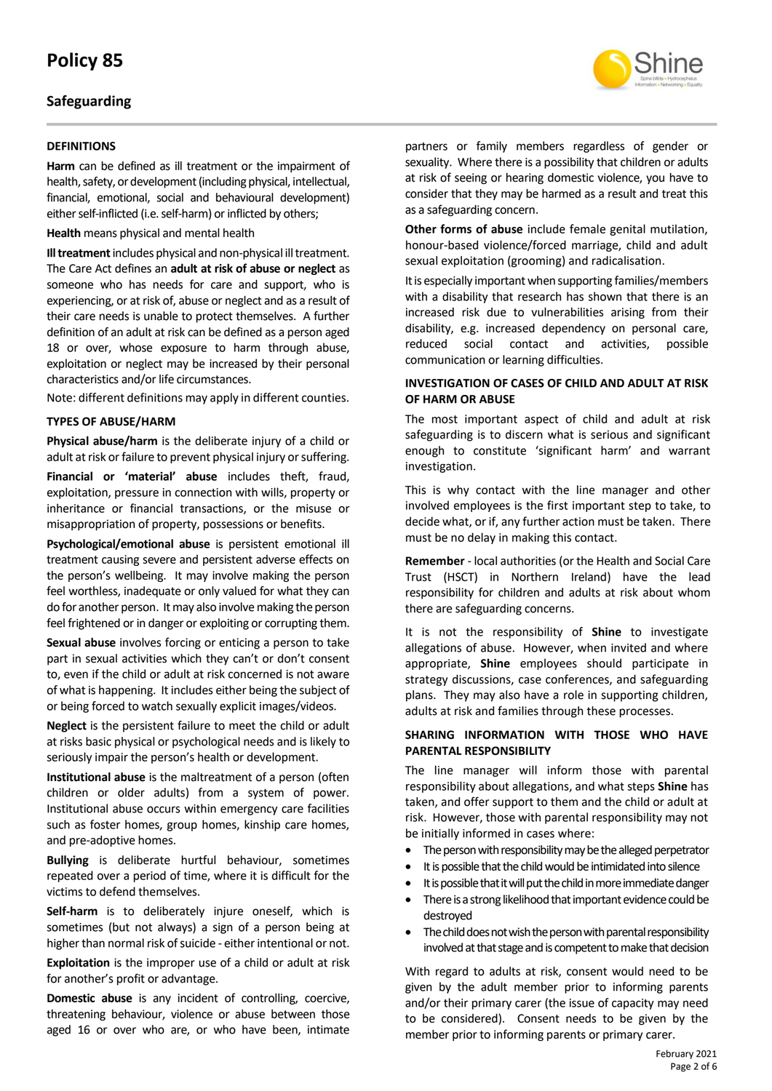## **Safeguarding**

### **DEFINITIONS**

**Harm** can be defined as ill treatment or the impairment of health, safety, or development (including physical, intellectual, financial, emotional, social and behavioural development) either self-inflicted (i.e. self-harm) or inflicted by others;

**Health** means physical and mental health

**Ill treatment**includes physical and non-physical ill treatment. The Care Act defines an **adult at risk of abuse or neglect** as someone who has needs for care and support, who is experiencing, or at risk of, abuse or neglect and as a result of their care needs is unable to protect themselves. A further definition of an adult at risk can be defined as a person aged 18 or over, whose exposure to harm through abuse, exploitation or neglect may be increased by their personal characteristics and/or life circumstances.

Note: different definitions may apply in different counties.

#### **TYPES OF ABUSE/HARM**

**Physical abuse/harm** is the deliberate injury of a child or adult at risk or failure to prevent physical injury or suffering.

**Financial or 'material' abuse** includes theft, fraud, exploitation, pressure in connection with wills, property or inheritance or financial transactions, or the misuse or misappropriation of property, possessions or benefits.

**Psychological/emotional abuse** is persistent emotional ill treatment causing severe and persistent adverse effects on the person's wellbeing. It may involve making the person feel worthless, inadequate or only valued for what they can do for another person. It may also involve making the person feel frightened or in danger or exploiting or corrupting them.

**Sexual abuse** involves forcing or enticing a person to take part in sexual activities which they can't or don't consent to, even if the child or adult at risk concerned is not aware of what is happening. It includes either being the subject of or being forced to watch sexually explicit images/videos.

**Neglect** is the persistent failure to meet the child or adult at risks basic physical or psychological needs and is likely to seriously impair the person's health or development.

**Institutional abuse** is the maltreatment of a person (often children or older adults) from a system of power. Institutional abuse occurs within emergency care facilities such as foster homes, group homes, kinship care homes, and pre-adoptive homes.

**Bullying** is deliberate hurtful behaviour, sometimes repeated over a period of time, where it is difficult for the victims to defend themselves.

**Self-harm** is to deliberately injure oneself, which is sometimes (but not always) a sign of a person being at higher than normal risk of suicide - either intentional or not.

**Exploitation** is the improper use of a child or adult at risk for another's profit or advantage.

**Domestic abuse** is any incident of controlling, coercive, threatening behaviour, violence or abuse between those aged 16 or over who are, or who have been, intimate

partners or family members regardless of gender or sexuality. Where there is a possibility that children or adults at risk of seeing or hearing domestic violence, you have to consider that they may be harmed as a result and treat this as a safeguarding concern.

**Other forms of abuse** include female genital mutilation, honour-based violence/forced marriage, child and adult sexual exploitation (grooming) and radicalisation.

It is especially important when supporting families/members with a disability that research has shown that there is an increased risk due to vulnerabilities arising from their disability, e.g. increased dependency on personal care, reduced social contact and activities, possible communication or learning difficulties.

### **INVESTIGATION OF CASES OF CHILD AND ADULT AT RISK OF HARM OR ABUSE**

The most important aspect of child and adult at risk safeguarding is to discern what is serious and significant enough to constitute 'significant harm' and warrant investigation.

This is why contact with the line manager and other involved employees is the first important step to take, to decide what, or if, any further action must be taken. There must be no delay in making this contact.

**Remember** - local authorities (or the Health and Social Care Trust (HSCT) in Northern Ireland) have the lead responsibility for children and adults at risk about whom there are safeguarding concerns.

It is not the responsibility of **Shine** to investigate allegations of abuse. However, when invited and where appropriate, **Shine** employees should participate in strategy discussions, case conferences, and safeguarding plans. They may also have a role in supporting children, adults at risk and families through these processes.

### **SHARING INFORMATION WITH THOSE WHO HAVE PARENTAL RESPONSIBILITY**

The line manager will inform those with parental responsibility about allegations, and what steps **Shine** has taken, and offer support to them and the child or adult at risk. However, those with parental responsibility may not be initially informed in cases where:

- The person with responsibility may be the alleged perpetrator
- It is possible that the child would be intimidated into silence
- It is possible that it will put the child in more immediate danger
- There is a strong likelihood that important evidence could be destroyed
- The child does not wish the person with parental responsibility involved at that stage and is competent to make that decision

With regard to adults at risk, consent would need to be given by the adult member prior to informing parents and/or their primary carer (the issue of capacity may need to be considered). Consent needs to be given by the member prior to informing parents or primary carer.

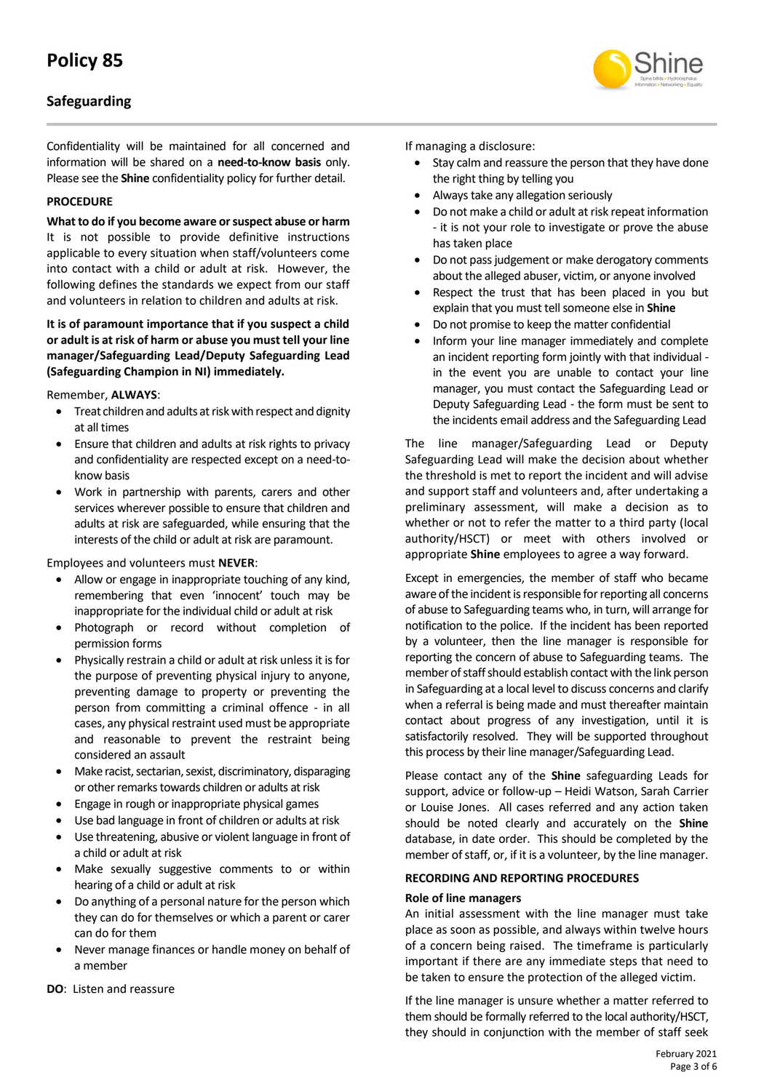# **Safeguarding**

Confidentiality will be maintained for all concerned and information will be shared on a **need-to-know basis** only. Please see the **Shine** confidentiality policy for further detail.

#### **PROCEDURE**

**What to do if you become aware or suspect abuse or harm** It is not possible to provide definitive instructions applicable to every situation when staff/volunteers come into contact with a child or adult at risk. However, the following defines the standards we expect from our staff and volunteers in relation to children and adults at risk.

**It is of paramount importance that if you suspect a child or adult is at risk of harm or abuse you must tell your line manager/Safeguarding Lead/Deputy Safeguarding Lead (Safeguarding Champion in NI) immediately.**

Remember, **ALWAYS**:

- Treat children and adults at risk with respect and dignity at all times
- Ensure that children and adults at risk rights to privacy and confidentiality are respected except on a need-toknow basis
- Work in partnership with parents, carers and other services wherever possible to ensure that children and adults at risk are safeguarded, while ensuring that the interests of the child or adult at risk are paramount.

Employees and volunteers must **NEVER**:

- Allow or engage in inappropriate touching of any kind, remembering that even 'innocent' touch may be inappropriate for the individual child or adult at risk
- Photograph or record without completion of permission forms
- Physically restrain a child or adult at risk unless it is for the purpose of preventing physical injury to anyone, preventing damage to property or preventing the person from committing a criminal offence - in all cases, any physical restraint used must be appropriate and reasonable to prevent the restraint being considered an assault
- Make racist, sectarian, sexist, discriminatory, disparaging or other remarks towards children or adults at risk
- Engage in rough or inappropriate physical games
- Use bad language in front of children or adults at risk
- Use threatening, abusive or violent language in front of a child or adult at risk
- Make sexually suggestive comments to or within hearing of a child or adult at risk
- Do anything of a personal nature for the person which they can do for themselves or which a parent or carer can do for them
- Never manage finances or handle money on behalf of a member
- **DO**: Listen and reassure

If managing a disclosure:

- Stay calm and reassure the person that they have done the right thing by telling you
- Always take any allegation seriously
- Do not make a child or adult at risk repeat information - it is not your role to investigate or prove the abuse has taken place
- Do not pass judgement or make derogatory comments about the alleged abuser, victim, or anyone involved
- Respect the trust that has been placed in you but explain that you must tell someone else in **Shine**
- Do not promise to keep the matter confidential
- Inform your line manager immediately and complete an incident reporting form jointly with that individual in the event you are unable to contact your line manager, you must contact the Safeguarding Lead or Deputy Safeguarding Lead - the form must be sent to the incidents email address and the Safeguarding Lead

The line manager/Safeguarding Lead or Deputy Safeguarding Lead will make the decision about whether the threshold is met to report the incident and will advise and support staff and volunteers and, after undertaking a preliminary assessment, will make a decision as to whether or not to refer the matter to a third party (local authority/HSCT) or meet with others involved or appropriate **Shine** employees to agree a way forward.

Except in emergencies, the member of staff who became aware of the incident is responsible for reporting all concerns of abuse to Safeguarding teams who, in turn, will arrange for notification to the police. If the incident has been reported by a volunteer, then the line manager is responsible for reporting the concern of abuse to Safeguarding teams. The member of staff should establish contact with the link person in Safeguarding at a local level to discuss concerns and clarify when a referral is being made and must thereafter maintain contact about progress of any investigation, until it is satisfactorily resolved. They will be supported throughout this process by their line manager/Safeguarding Lead.

Please contact any of the **Shine** safeguarding Leads for support, advice or follow-up – Heidi Watson, Sarah Carrier or Louise Jones. All cases referred and any action taken should be noted clearly and accurately on the **Shine** database, in date order. This should be completed by the member of staff, or, if it is a volunteer, by the line manager.

#### **RECORDING AND REPORTING PROCEDURES**

#### **Role of line managers**

An initial assessment with the line manager must take place as soon as possible, and always within twelve hours of a concern being raised. The timeframe is particularly important if there are any immediate steps that need to be taken to ensure the protection of the alleged victim.

If the line manager is unsure whether a matter referred to them should be formally referred to the local authority/HSCT, they should in conjunction with the member of staff seek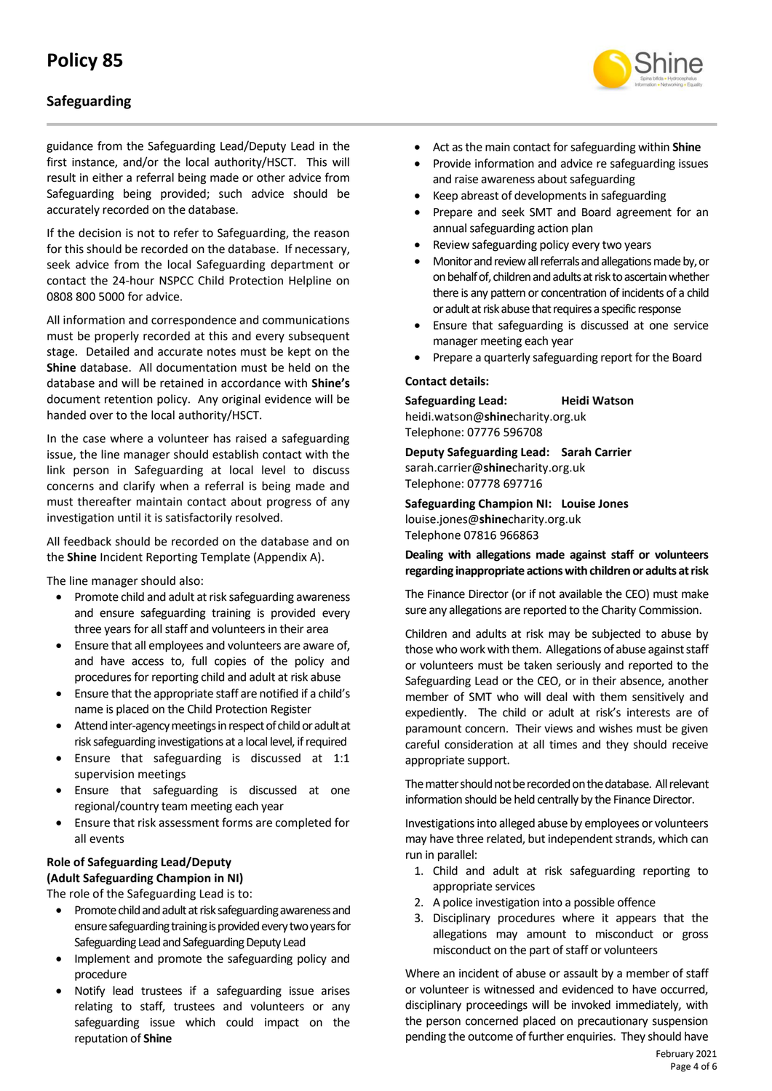# **Safeguarding**

guidance from the Safeguarding Lead/Deputy Lead in the first instance, and/or the local authority/HSCT. This will result in either a referral being made or other advice from Safeguarding being provided; such advice should be accurately recorded on the database.

If the decision is not to refer to Safeguarding, the reason for this should be recorded on the database. If necessary, seek advice from the local Safeguarding department or contact the 24-hour NSPCC Child Protection Helpline on 0808 800 5000 for advice.

All information and correspondence and communications must be properly recorded at this and every subsequent stage. Detailed and accurate notes must be kept on the **Shine** database. All documentation must be held on the database and will be retained in accordance with **Shine's** document retention policy. Any original evidence will be handed over to the local authority/HSCT.

In the case where a volunteer has raised a safeguarding issue, the line manager should establish contact with the link person in Safeguarding at local level to discuss concerns and clarify when a referral is being made and must thereafter maintain contact about progress of any investigation until it is satisfactorily resolved.

All feedback should be recorded on the database and on the **Shine** Incident Reporting Template (Appendix A).

The line manager should also:

- Promote child and adult at risk safeguarding awareness and ensure safeguarding training is provided every three years for all staff and volunteers in their area
- Ensure that all employees and volunteers are aware of, and have access to, full copies of the policy and procedures for reporting child and adult at risk abuse
- Ensure that the appropriate staff are notified if a child's name is placed on the Child Protection Register
- Attend inter-agency meetings in respect of child or adult at risk safeguarding investigations at a local level, if required
- Ensure that safeguarding is discussed at 1:1 supervision meetings
- Ensure that safeguarding is discussed at one regional/country team meeting each year
- Ensure that risk assessment forms are completed for all events

### **Role of Safeguarding Lead/Deputy (Adult Safeguarding Champion in NI)**

The role of the Safeguarding Lead is to:

- Promote child and adult at risk safeguarding awareness and ensure safeguarding training is provided every two years for Safeguarding Lead and Safeguarding Deputy Lead
- Implement and promote the safeguarding policy and procedure
- Notify lead trustees if a safeguarding issue arises relating to staff, trustees and volunteers or any safeguarding issue which could impact on the reputation of **Shine**



- Act as the main contact for safeguarding within **Shine**
- Provide information and advice re safeguarding issues and raise awareness about safeguarding
- Keep abreast of developments in safeguarding
- Prepare and seek SMT and Board agreement for an annual safeguarding action plan
- Review safeguarding policy every two years
- Monitor and review all referrals and allegations made by, or on behalf of, children and adults at risk to ascertain whether there is any pattern or concentration of incidents of a child or adult at risk abuse that requires a specific response
- Ensure that safeguarding is discussed at one service manager meeting each year
- Prepare a quarterly safeguarding report for the Board

#### **Contact details:**

**Safeguarding Lead: Heidi Watson** heidi.watson@**shine**charity.org.uk Telephone: 07776 596708

**Deputy Safeguarding Lead: Sarah Carrier** sarah.carrier@**shine**charity.org.uk Telephone: 07778 697716

**Safeguarding Champion NI: Louise Jones** [louise.jones@](mailto:louise.jones@shinecharity.org.uk)**shine**charity.org.uk Telephone 07816 966863

### **Dealing with allegations made against staff or volunteers regarding inappropriate actions with children or adults at risk**

The Finance Director (or if not available the CEO) must make sure any allegations are reported to the Charity Commission.

Children and adults at risk may be subjected to abuse by those who work with them. Allegations of abuse against staff or volunteers must be taken seriously and reported to the Safeguarding Lead or the CEO, or in their absence, another member of SMT who will deal with them sensitively and expediently. The child or adult at risk's interests are of paramount concern. Their views and wishes must be given careful consideration at all times and they should receive appropriate support.

The matter should not be recorded on the database. All relevant information should be held centrally by the Finance Director.

Investigations into alleged abuse by employees or volunteers may have three related, but independent strands, which can run in parallel:

- 1. Child and adult at risk safeguarding reporting to appropriate services
- 2. A police investigation into a possible offence
- 3. Disciplinary procedures where it appears that the allegations may amount to misconduct or gross misconduct on the part of staff or volunteers

Where an incident of abuse or assault by a member of staff or volunteer is witnessed and evidenced to have occurred, disciplinary proceedings will be invoked immediately, with the person concerned placed on precautionary suspension pending the outcome of further enquiries. They should have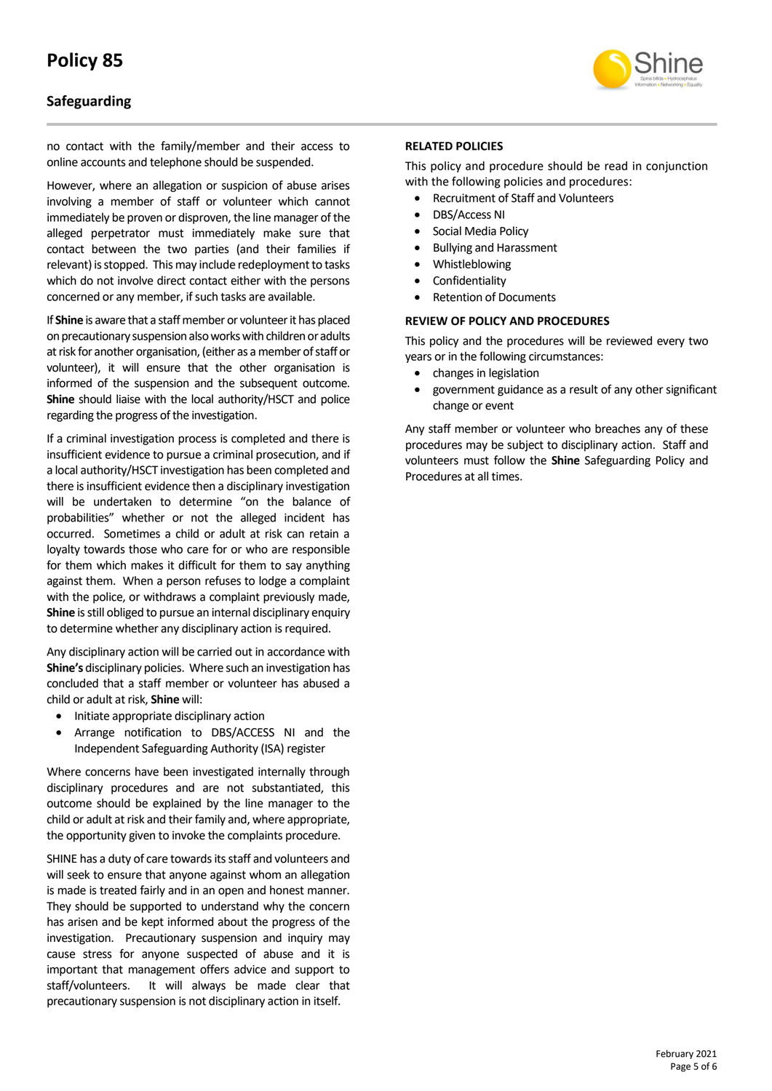

## **Safeguarding**

no contact with the family/member and their access to online accounts and telephone should be suspended.

However, where an allegation or suspicion of abuse arises involving a member of staff or volunteer which cannot immediately be proven or disproven, the line manager of the alleged perpetrator must immediately make sure that contact between the two parties (and their families if relevant) is stopped. This may include redeployment to tasks which do not involve direct contact either with the persons concerned or any member, if such tasks are available.

If **Shine** is aware that a staff member or volunteer it has placed on precautionary suspension also works with children or adults at risk for another organisation, (either as a member of staff or volunteer), it will ensure that the other organisation is informed of the suspension and the subsequent outcome. **Shine** should liaise with the local authority/HSCT and police regarding the progress of the investigation.

If a criminal investigation process is completed and there is insufficient evidence to pursue a criminal prosecution, and if a local authority/HSCT investigation has been completed and there is insufficient evidence then a disciplinary investigation will be undertaken to determine "on the balance of probabilities" whether or not the alleged incident has occurred. Sometimes a child or adult at risk can retain a loyalty towards those who care for or who are responsible for them which makes it difficult for them to say anything against them. When a person refuses to lodge a complaint with the police, or withdraws a complaint previously made. **Shine** is still obliged to pursue an internal disciplinary enquiry to determine whether any disciplinary action is required.

Any disciplinary action will be carried out in accordance with **Shine's** disciplinary policies. Where such an investigation has concluded that a staff member or volunteer has abused a child or adult at risk, **Shine** will:

- Initiate appropriate disciplinary action
- Arrange notification to DBS/ACCESS NI and the Independent Safeguarding Authority (ISA) register

Where concerns have been investigated internally through disciplinary procedures and are not substantiated, this outcome should be explained by the line manager to the child or adult at risk and their family and, where appropriate, the opportunity given to invoke the complaints procedure.

SHINE has a duty of care towards its staff and volunteers and will seek to ensure that anyone against whom an allegation is made is treated fairly and in an open and honest manner. They should be supported to understand why the concern has arisen and be kept informed about the progress of the investigation. Precautionary suspension and inquiry may cause stress for anyone suspected of abuse and it is important that management offers advice and support to staff/volunteers. It will always be made clear that precautionary suspension is not disciplinary action in itself.

#### **RELATED POLICIES**

This policy and procedure should be read in conjunction with the following policies and procedures:

- Recruitment of Staff and Volunteers
- DBS/Access NI
- Social Media Policy
- Bullying and Harassment
- Whistleblowing
- **Confidentiality**
- Retention of Documents

#### **REVIEW OF POLICY AND PROCEDURES**

This policy and the procedures will be reviewed every two years or in the following circumstances:

- changes in legislation
- government guidance as a result of any other significant change or event

Any staff member or volunteer who breaches any of these procedures may be subject to disciplinary action. Staff and volunteers must follow the **Shine** Safeguarding Policy and Procedures at all times.